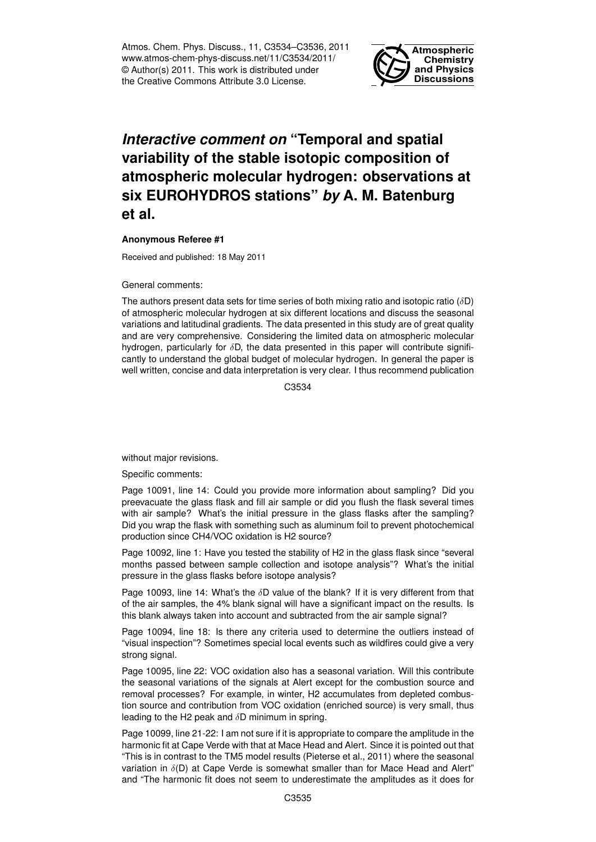Atmos. Chem. Phys. Discuss., 11, C3534–C3536, 2011 www.atmos-chem-phys-discuss.net/11/C3534/2011/ © Author(s) 2011. This work is distributed under the Creative Commons Attribute 3.0 License.



## *Interactive comment on* **"Temporal and spatial variability of the stable isotopic composition of atmospheric molecular hydrogen: observations at six EUROHYDROS stations"** *by* **A. M. Batenburg et al.**

## **Anonymous Referee #1**

Received and published: 18 May 2011

## General comments:

The authors present data sets for time series of both mixing ratio and isotopic ratio ( $\delta D$ ) of atmospheric molecular hydrogen at six different locations and discuss the seasonal variations and latitudinal gradients. The data presented in this study are of great quality and are very comprehensive. Considering the limited data on atmospheric molecular hydrogen, particularly for  $\delta D$ , the data presented in this paper will contribute significantly to understand the global budget of molecular hydrogen. In general the paper is well written, concise and data interpretation is very clear. I thus recommend publication

C3534

without major revisions.

Specific comments:

Page 10091, line 14: Could you provide more information about sampling? Did you preevacuate the glass flask and fill air sample or did you flush the flask several times with air sample? What's the initial pressure in the glass flasks after the sampling? Did you wrap the flask with something such as aluminum foil to prevent photochemical production since CH4/VOC oxidation is H2 source?

Page 10092, line 1: Have you tested the stability of H2 in the glass flask since "several months passed between sample collection and isotope analysis"? What's the initial pressure in the glass flasks before isotope analysis?

Page 10093, line 14: What's the δD value of the blank? If it is very different from that of the air samples, the 4% blank signal will have a significant impact on the results. Is this blank always taken into account and subtracted from the air sample signal?

Page 10094, line 18: Is there any criteria used to determine the outliers instead of "visual inspection"? Sometimes special local events such as wildfires could give a very strong signal.

Page 10095, line 22: VOC oxidation also has a seasonal variation. Will this contribute the seasonal variations of the signals at Alert except for the combustion source and removal processes? For example, in winter, H2 accumulates from depleted combustion source and contribution from VOC oxidation (enriched source) is very small, thus leading to the H2 peak and  $\delta$ D minimum in spring.

Page 10099, line 21-22: I am not sure if it is appropriate to compare the amplitude in the harmonic fit at Cape Verde with that at Mace Head and Alert. Since it is pointed out that "This is in contrast to the TM5 model results (Pieterse et al., 2011) where the seasonal variation in  $\delta(D)$  at Cape Verde is somewhat smaller than for Mace Head and Alert" and "The harmonic fit does not seem to underestimate the amplitudes as it does for